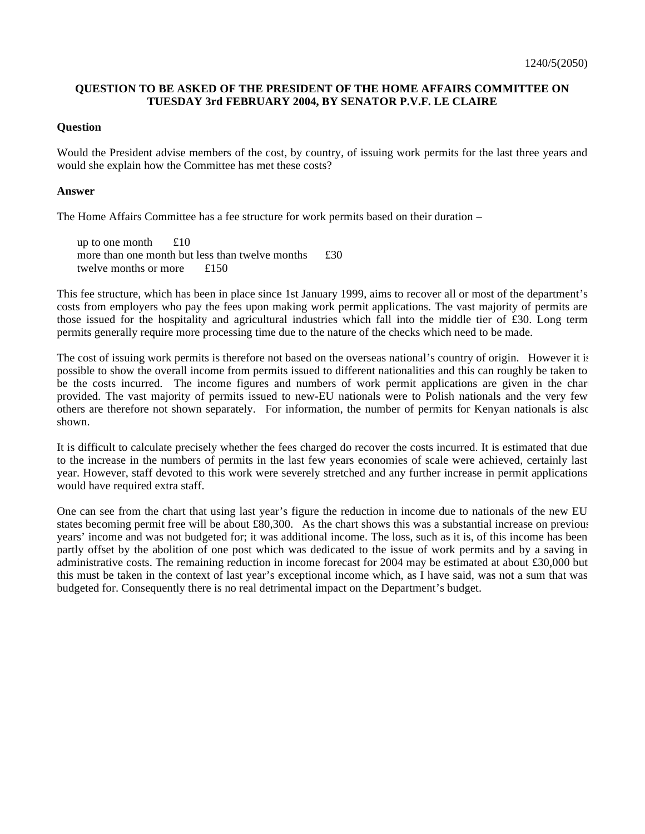## **QUESTION TO BE ASKED OF THE PRESIDENT OF THE HOME AFFAIRS COMMITTEE ON TUESDAY 3rd FEBRUARY 2004, BY SENATOR P.V.F. LE CLAIRE**

## **Question**

Would the President advise members of the cost, by country, of issuing work permits for the last three years and would she explain how the Committee has met these costs?

## **Answer**

The Home Affairs Committee has a fee structure for work permits based on their duration –

up to one month  $\pounds 10$ more than one month but less than twelve months  $£30$ twelve months or more £150

This fee structure, which has been in place since 1st January 1999, aims to recover all or most of the department's costs from employers who pay the fees upon making work permit applications. The vast majority of permits are those issued for the hospitality and agricultural industries which fall into the middle tier of £30. Long term permits generally require more processing time due to the nature of the checks which need to be made.

The cost of issuing work permits is therefore not based on the overseas national's country of origin. However it is possible to show the overall income from permits issued to different nationalities and this can roughly be taken to be the costs incurred. The income figures and numbers of work permit applications are given in the chart provided. The vast majority of permits issued to new-EU nationals were to Polish nationals and the very few others are therefore not shown separately. For information, the number of permits for Kenyan nationals is also shown.

It is difficult to calculate precisely whether the fees charged do recover the costs incurred. It is estimated that due to the increase in the numbers of permits in the last few years economies of scale were achieved, certainly last year. However, staff devoted to this work were severely stretched and any further increase in permit applications would have required extra staff.

One can see from the chart that using last year's figure the reduction in income due to nationals of the new EU states becoming permit free will be about £80,300. As the chart shows this was a substantial increase on previous years' income and was not budgeted for; it was additional income. The loss, such as it is, of this income has been partly offset by the abolition of one post which was dedicated to the issue of work permits and by a saving in administrative costs. The remaining reduction in income forecast for 2004 may be estimated at about £30,000 but this must be taken in the context of last year's exceptional income which, as I have said, was not a sum that was budgeted for. Consequently there is no real detrimental impact on the Department's budget.